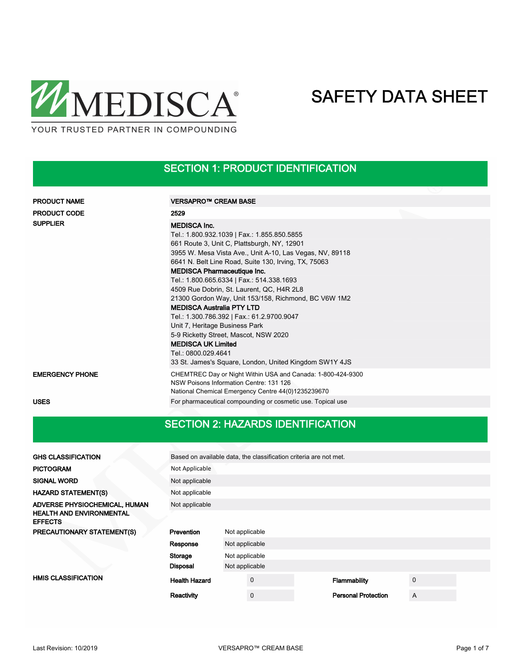

### SECTION 1: PRODUCT IDENTIFICATION

| <b>PRODUCT NAME</b>    | VERSAPRO™ CREAM BASE                                                                                                                                                                                                                                                                                                                                                                                                                                                                                                                                                                                                                                                                                     |
|------------------------|----------------------------------------------------------------------------------------------------------------------------------------------------------------------------------------------------------------------------------------------------------------------------------------------------------------------------------------------------------------------------------------------------------------------------------------------------------------------------------------------------------------------------------------------------------------------------------------------------------------------------------------------------------------------------------------------------------|
| <b>PRODUCT CODE</b>    | 2529                                                                                                                                                                                                                                                                                                                                                                                                                                                                                                                                                                                                                                                                                                     |
| <b>SUPPLIER</b>        | <b>MEDISCA Inc.</b><br>Tel.: 1.800.932.1039   Fax.: 1.855.850.5855<br>661 Route 3, Unit C, Plattsburgh, NY, 12901<br>3955 W. Mesa Vista Ave., Unit A-10, Las Vegas, NV, 89118<br>6641 N. Belt Line Road, Suite 130, Irving, TX, 75063<br><b>MEDISCA Pharmaceutique Inc.</b><br>Tel.: 1.800.665.6334   Fax.: 514.338.1693<br>4509 Rue Dobrin, St. Laurent, QC, H4R 2L8<br>21300 Gordon Way, Unit 153/158, Richmond, BC V6W 1M2<br><b>MEDISCA Australia PTY LTD</b><br>Tel.: 1.300.786.392   Fax.: 61.2.9700.9047<br>Unit 7, Heritage Business Park<br>5-9 Ricketty Street, Mascot, NSW 2020<br><b>MEDISCA UK Limited</b><br>Tel.: 0800.029.4641<br>33 St. James's Square, London, United Kingdom SW1Y 4JS |
| <b>EMERGENCY PHONE</b> | CHEMTREC Day or Night Within USA and Canada: 1-800-424-9300<br>NSW Poisons Information Centre: 131 126<br>National Chemical Emergency Centre 44(0)1235239670                                                                                                                                                                                                                                                                                                                                                                                                                                                                                                                                             |
| <b>USES</b>            | For pharmaceutical compounding or cosmetic use. Topical use                                                                                                                                                                                                                                                                                                                                                                                                                                                                                                                                                                                                                                              |

### SECTION 2: HAZARDS IDENTIFICATION

| <b>GHS CLASSIFICATION</b>                         |                      | Based on available data, the classification criteria are not met. |             |  |                            |             |  |  |
|---------------------------------------------------|----------------------|-------------------------------------------------------------------|-------------|--|----------------------------|-------------|--|--|
| <b>PICTOGRAM</b>                                  | Not Applicable       |                                                                   |             |  |                            |             |  |  |
| <b>SIGNAL WORD</b>                                | Not applicable       |                                                                   |             |  |                            |             |  |  |
| <b>HAZARD STATEMENT(S)</b>                        | Not applicable       |                                                                   |             |  |                            |             |  |  |
| ADVERSE PHYSIOCHEMICAL, HUMAN                     | Not applicable       |                                                                   |             |  |                            |             |  |  |
| <b>HEALTH AND ENVIRONMENTAL</b><br><b>EFFECTS</b> |                      |                                                                   |             |  |                            |             |  |  |
| PRECAUTIONARY STATEMENT(S)                        | Prevention           | Not applicable                                                    |             |  |                            |             |  |  |
|                                                   | Response             | Not applicable                                                    |             |  |                            |             |  |  |
|                                                   | Storage              | Not applicable                                                    |             |  |                            |             |  |  |
|                                                   | <b>Disposal</b>      | Not applicable                                                    |             |  |                            |             |  |  |
| <b>HMIS CLASSIFICATION</b>                        | <b>Health Hazard</b> |                                                                   | $\mathbf 0$ |  | Flammability               | $\mathbf 0$ |  |  |
|                                                   | Reactivity           |                                                                   | $\mathbf 0$ |  | <b>Personal Protection</b> | A           |  |  |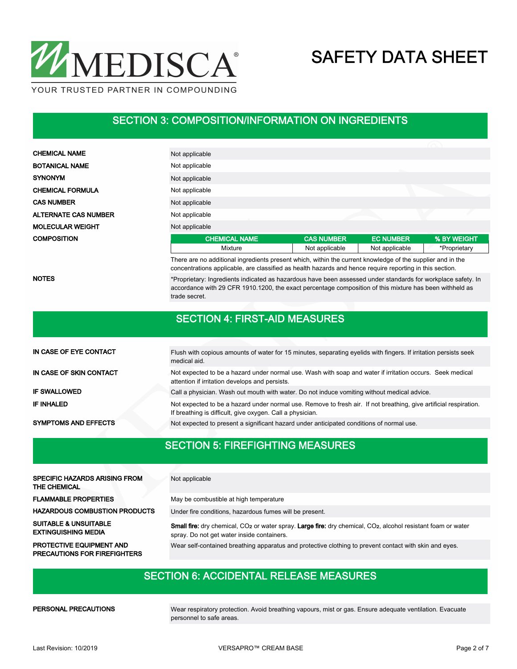

#### SECTION 3: COMPOSITION/INFORMATION ON INGREDIENTS

| <b>CHEMICAL NAME</b>        | Not applicable       |                   |                  |              |  |  |  |  |
|-----------------------------|----------------------|-------------------|------------------|--------------|--|--|--|--|
| <b>BOTANICAL NAME</b>       | Not applicable       |                   |                  |              |  |  |  |  |
| <b>SYNONYM</b>              | Not applicable       |                   |                  |              |  |  |  |  |
| <b>CHEMICAL FORMULA</b>     | Not applicable       |                   |                  |              |  |  |  |  |
| <b>CAS NUMBER</b>           | Not applicable       |                   |                  |              |  |  |  |  |
| <b>ALTERNATE CAS NUMBER</b> | Not applicable       |                   |                  |              |  |  |  |  |
| <b>MOLECULAR WEIGHT</b>     | Not applicable       |                   |                  |              |  |  |  |  |
| <b>COMPOSITION</b>          | <b>CHEMICAL NAME</b> | <b>CAS NUMBER</b> | <b>EC NUMBER</b> | % BY WEIGHT  |  |  |  |  |
|                             | Mixture              | Not applicable    | Not applicable   | *Proprietary |  |  |  |  |
|                             |                      |                   |                  |              |  |  |  |  |

There are no additional ingredients present which, within the current knowledge of the supplier and in the concentrations applicable, are classified as health hazards and hence require reporting in this section.

NOTES

\*Proprietary: Ingredients indicated as hazardous have been assessed under standards for workplace safety. In accordance with 29 CFR 1910.1200, the exact percentage composition of this mixture has been withheld as trade secret.

#### SECTION 4: FIRST-AID MEASURES

| IN CASE OF EYE CONTACT      | Flush with copious amounts of water for 15 minutes, separating eyelids with fingers. If irritation persists seek<br>medical aid.                                               |
|-----------------------------|--------------------------------------------------------------------------------------------------------------------------------------------------------------------------------|
| IN CASE OF SKIN CONTACT     | Not expected to be a hazard under normal use. Wash with soap and water if irritation occurs. Seek medical<br>attention if irritation develops and persists.                    |
| <b>IF SWALLOWED</b>         | Call a physician. Wash out mouth with water. Do not induce vomiting without medical advice.                                                                                    |
| IF INHALED                  | Not expected to be a hazard under normal use. Remove to fresh air. If not breathing, give artificial respiration.<br>If breathing is difficult, give oxygen. Call a physician. |
| <b>SYMPTOMS AND EFFECTS</b> | Not expected to present a significant hazard under anticipated conditions of normal use.                                                                                       |

#### SECTION 5: FIREFIGHTING MEASURES

| <b>SPECIFIC HAZARDS ARISING FROM</b><br>THE CHEMICAL                   | Not applicable                                                                                                                                                                      |
|------------------------------------------------------------------------|-------------------------------------------------------------------------------------------------------------------------------------------------------------------------------------|
| <b>FLAMMABLE PROPERTIES</b>                                            | May be combustible at high temperature                                                                                                                                              |
| <b>HAZARDOUS COMBUSTION PRODUCTS</b>                                   | Under fire conditions, hazardous fumes will be present.                                                                                                                             |
| <b>SUITABLE &amp; UNSUITABLE</b><br><b>EXTINGUISHING MEDIA</b>         | Small fire: dry chemical, CO <sub>2</sub> or water spray. Large fire: dry chemical, CO <sub>2</sub> , alcohol resistant foam or water<br>spray. Do not get water inside containers. |
| <b>PROTECTIVE EQUIPMENT AND</b><br><b>PRECAUTIONS FOR FIREFIGHTERS</b> | Wear self-contained breathing apparatus and protective clothing to prevent contact with skin and eyes.                                                                              |

#### SECTION 6: ACCIDENTAL RELEASE MEASURES

PERSONAL PRECAUTIONS

Wear respiratory protection. Avoid breathing vapours, mist or gas. Ensure adequate ventilation. Evacuate personnel to safe areas.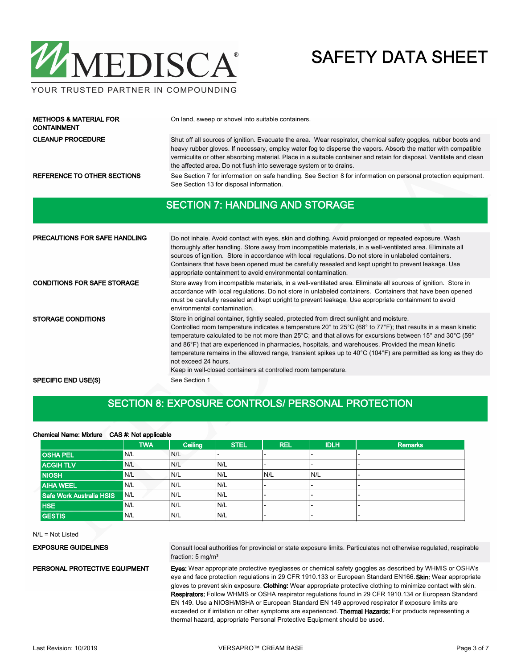

#### YOUR TRUSTED PARTNER IN COMPOUNDING

| <b>METHODS &amp; MATERIAL FOR</b><br><b>CONTAINMENT</b> | On land, sweep or shovel into suitable containers.                                                                                                                                                                                                                                                                                                                                                                            |  |  |  |  |
|---------------------------------------------------------|-------------------------------------------------------------------------------------------------------------------------------------------------------------------------------------------------------------------------------------------------------------------------------------------------------------------------------------------------------------------------------------------------------------------------------|--|--|--|--|
| <b>CLEANUP PROCEDURE</b>                                | Shut off all sources of ignition. Evacuate the area. Wear respirator, chemical safety goggles, rubber boots and<br>heavy rubber gloves. If necessary, employ water fog to disperse the vapors. Absorb the matter with compatible<br>vermiculite or other absorbing material. Place in a suitable container and retain for disposal. Ventilate and clean<br>the affected area. Do not flush into sewerage system or to drains. |  |  |  |  |
| REFERENCE TO OTHER SECTIONS                             | See Section 7 for information on safe handling. See Section 8 for information on personal protection equipment.<br>See Section 13 for disposal information.                                                                                                                                                                                                                                                                   |  |  |  |  |
|                                                         | <b>SECTION 7: HANDLING AND STORAGE</b>                                                                                                                                                                                                                                                                                                                                                                                        |  |  |  |  |
|                                                         |                                                                                                                                                                                                                                                                                                                                                                                                                               |  |  |  |  |
| <b>PRECAUTIONS FOR SAFE HANDLING</b>                    | Do not inhale. Avoid contact with eyes, skin and clothing. Avoid prolonged or repeated exposure. Wash<br>thoroughly after handling. Store away from incompatible materials, in a well ventilated area. Eliminate all                                                                                                                                                                                                          |  |  |  |  |

| PRECAUTIONS FOR SAFE HANDLING      | Do not inhale. Avoid contact with eyes, skin and clothing. Avoid prolonged or repeated exposure. Wash<br>thoroughly after handling. Store away from incompatible materials, in a well-ventilated area. Eliminate all<br>sources of ignition. Store in accordance with local regulations. Do not store in unlabeled containers.<br>Containers that have been opened must be carefully resealed and kept upright to prevent leakage. Use<br>appropriate containment to avoid environmental contamination.                                                                                                                                                        |
|------------------------------------|----------------------------------------------------------------------------------------------------------------------------------------------------------------------------------------------------------------------------------------------------------------------------------------------------------------------------------------------------------------------------------------------------------------------------------------------------------------------------------------------------------------------------------------------------------------------------------------------------------------------------------------------------------------|
| <b>CONDITIONS FOR SAFE STORAGE</b> | Store away from incompatible materials, in a well-ventilated area. Eliminate all sources of ignition. Store in<br>accordance with local regulations. Do not store in unlabeled containers. Containers that have been opened<br>must be carefully resealed and kept upright to prevent leakage. Use appropriate containment to avoid<br>environmental contamination.                                                                                                                                                                                                                                                                                            |
| <b>STORAGE CONDITIONS</b>          | Store in original container, tightly sealed, protected from direct sunlight and moisture.<br>Controlled room temperature indicates a temperature 20° to 25°C (68° to 77°F); that results in a mean kinetic<br>temperature calculated to be not more than 25°C; and that allows for excursions between 15° and 30°C (59°<br>and 86°F) that are experienced in pharmacies, hospitals, and warehouses. Provided the mean kinetic<br>temperature remains in the allowed range, transient spikes up to $40^{\circ}$ C (104 $^{\circ}$ F) are permitted as long as they do<br>not exceed 24 hours.<br>Keep in well-closed containers at controlled room temperature. |
| <b>SPECIFIC END USE(S)</b>         | See Section 1                                                                                                                                                                                                                                                                                                                                                                                                                                                                                                                                                                                                                                                  |

#### SECTION 8: EXPOSURE CONTROLS/ PERSONAL PROTECTION

#### Chemical Name: Mixture CAS #: Not applicable

|                          | <b>TWA</b> | Ceiling | <b>STEL</b> | <b>REL</b> | <b>IDLH</b>              | <b>Remarks</b>           |
|--------------------------|------------|---------|-------------|------------|--------------------------|--------------------------|
| <b>OSHA PEL</b>          | N/L        | N/L     |             | -          |                          |                          |
| <b>ACGIH TLV</b>         | N/L        | N/L     | N/L         | -          | $\overline{\phantom{0}}$ | $\overline{\phantom{0}}$ |
| <b>NIOSH</b>             | N/L        | N/L     | IN/L        | N/L        | N/L                      |                          |
| <b>AIHA WEEL</b>         | N/L        | N/L     | N/L         | -          |                          |                          |
| Safe Work Australia HSIS | N/L        | N/L     | N/L         | -          | $\overline{\phantom{0}}$ | $\overline{\phantom{a}}$ |
| <b>HSE</b>               | N/L        | N/L     | N/L         | -          | -                        | $\overline{\phantom{0}}$ |
| <b>GESTIS</b>            | N/L        | N/L     | N/L         |            |                          |                          |

N/L = Not Listed

#### EXPOSURE GUIDELINES

Consult local authorities for provincial or state exposure limits. Particulates not otherwise regulated, respirable fraction: 5 mg/m<sup>3</sup>

PERSONAL PROTECTIVE EQUIPMENT

Eyes: Wear appropriate protective eyeglasses or chemical safety goggles as described by WHMIS or OSHA's eye and face protection regulations in 29 CFR 1910.133 or European Standard EN166. Skin: Wear appropriate gloves to prevent skin exposure. Clothing: Wear appropriate protective clothing to minimize contact with skin. Respirators: Follow WHMIS or OSHA respirator regulations found in 29 CFR 1910.134 or European Standard EN 149. Use a NIOSH/MSHA or European Standard EN 149 approved respirator if exposure limits are exceeded or if irritation or other symptoms are experienced. Thermal Hazards: For products representing a thermal hazard, appropriate Personal Protective Equipment should be used.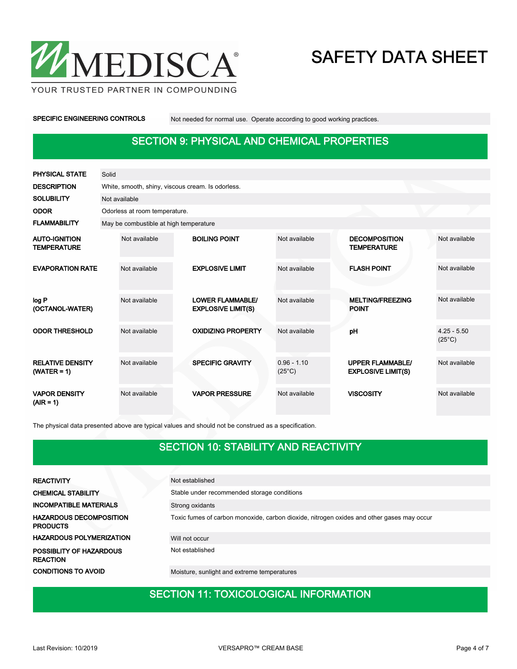

YOUR TRUSTED PARTNER IN COMPOUNDING

SPECIFIC ENGINEERING CONTROLS Not needed for normal use. Operate according to good working practices.

### SECTION 9: PHYSICAL AND CHEMICAL PROPERTIES

| PHYSICAL STATE                             | Solid |                                                   |  |                                                      |                                  |  |                                                      |                                  |  |
|--------------------------------------------|-------|---------------------------------------------------|--|------------------------------------------------------|----------------------------------|--|------------------------------------------------------|----------------------------------|--|
| <b>DESCRIPTION</b>                         |       | White, smooth, shiny, viscous cream. Is odorless. |  |                                                      |                                  |  |                                                      |                                  |  |
| <b>SOLUBILITY</b>                          |       | Not available                                     |  |                                                      |                                  |  |                                                      |                                  |  |
| <b>ODOR</b>                                |       | Odorless at room temperature.                     |  |                                                      |                                  |  |                                                      |                                  |  |
| <b>FLAMMABILITY</b>                        |       | May be combustible at high temperature            |  |                                                      |                                  |  |                                                      |                                  |  |
| <b>AUTO-IGNITION</b><br><b>TEMPERATURE</b> |       | Not available                                     |  | <b>BOILING POINT</b>                                 | Not available                    |  | <b>DECOMPOSITION</b><br><b>TEMPERATURE</b>           | Not available                    |  |
| <b>EVAPORATION RATE</b>                    |       | Not available                                     |  | <b>EXPLOSIVE LIMIT</b>                               | Not available                    |  | <b>FLASH POINT</b>                                   | Not available                    |  |
| log P<br>(OCTANOL-WATER)                   |       | Not available                                     |  | <b>LOWER FLAMMABLE/</b><br><b>EXPLOSIVE LIMIT(S)</b> | Not available                    |  | <b>MELTING/FREEZING</b><br><b>POINT</b>              | Not available                    |  |
| <b>ODOR THRESHOLD</b>                      |       | Not available                                     |  | <b>OXIDIZING PROPERTY</b>                            | Not available                    |  | pH                                                   | $4.25 - 5.50$<br>$(25^{\circ}C)$ |  |
| <b>RELATIVE DENSITY</b><br>$(WATER = 1)$   |       | Not available                                     |  | <b>SPECIFIC GRAVITY</b>                              | $0.96 - 1.10$<br>$(25^{\circ}C)$ |  | <b>UPPER FLAMMABLE/</b><br><b>EXPLOSIVE LIMIT(S)</b> | Not available                    |  |
| <b>VAPOR DENSITY</b><br>$(AIR = 1)$        |       | Not available                                     |  | <b>VAPOR PRESSURE</b>                                | Not available                    |  | <b>VISCOSITY</b>                                     | Not available                    |  |

The physical data presented above are typical values and should not be construed as a specification.

#### SECTION 10: STABILITY AND REACTIVITY

| <b>REACTIVITY</b>                                 | Not established                                                                           |
|---------------------------------------------------|-------------------------------------------------------------------------------------------|
| <b>CHEMICAL STABILITY</b>                         | Stable under recommended storage conditions                                               |
| <b>INCOMPATIBLE MATERIALS</b>                     | Strong oxidants                                                                           |
| <b>HAZARDOUS DECOMPOSITION</b><br><b>PRODUCTS</b> | Toxic fumes of carbon monoxide, carbon dioxide, nitrogen oxides and other gases may occur |
| <b>HAZARDOUS POLYMERIZATION</b>                   | Will not occur                                                                            |
| POSSIBLITY OF HAZARDOUS<br><b>REACTION</b>        | Not established                                                                           |
| <b>CONDITIONS TO AVOID</b>                        | Moisture, sunlight and extreme temperatures                                               |

### **SECTION 11: TOXICOLOGICAL INFORMATION**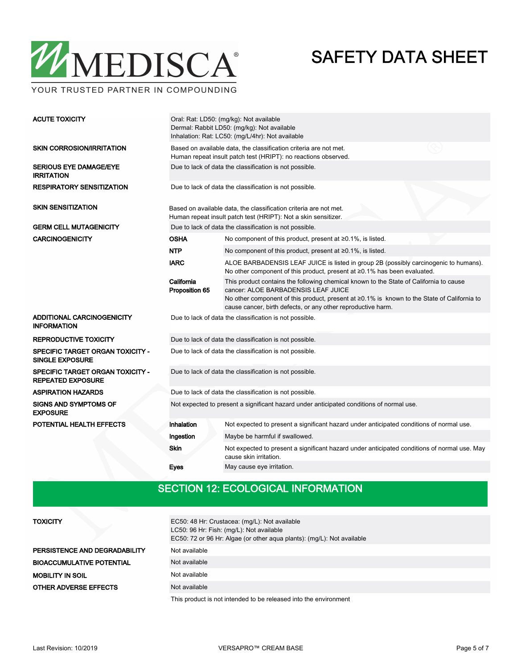

YOUR TRUSTED PARTNER IN COMPOUNDING

| <b>ACUTE TOXICITY</b>                                               | Oral: Rat: LD50: (mg/kg): Not available<br>Dermal: Rabbit LD50: (mg/kg): Not available<br>Inhalation: Rat: LC50: (mg/L/4hr): Not available |                                                                                                                                                                                                                                                                                                     |  |  |  |  |
|---------------------------------------------------------------------|--------------------------------------------------------------------------------------------------------------------------------------------|-----------------------------------------------------------------------------------------------------------------------------------------------------------------------------------------------------------------------------------------------------------------------------------------------------|--|--|--|--|
| <b>SKIN CORROSION/IRRITATION</b>                                    | Based on available data, the classification criteria are not met.<br>Human repeat insult patch test (HRIPT): no reactions observed.        |                                                                                                                                                                                                                                                                                                     |  |  |  |  |
| <b>SERIOUS EYE DAMAGE/EYE</b><br><b>IRRITATION</b>                  | Due to lack of data the classification is not possible.                                                                                    |                                                                                                                                                                                                                                                                                                     |  |  |  |  |
| <b>RESPIRATORY SENSITIZATION</b>                                    | Due to lack of data the classification is not possible.                                                                                    |                                                                                                                                                                                                                                                                                                     |  |  |  |  |
| <b>SKIN SENSITIZATION</b>                                           |                                                                                                                                            | Based on available data, the classification criteria are not met.<br>Human repeat insult patch test (HRIPT): Not a skin sensitizer.                                                                                                                                                                 |  |  |  |  |
| <b>GERM CELL MUTAGENICITY</b>                                       |                                                                                                                                            | Due to lack of data the classification is not possible.                                                                                                                                                                                                                                             |  |  |  |  |
| <b>CARCINOGENICITY</b>                                              | <b>OSHA</b>                                                                                                                                | No component of this product, present at $\geq 0.1\%$ , is listed.                                                                                                                                                                                                                                  |  |  |  |  |
|                                                                     | <b>NTP</b>                                                                                                                                 | No component of this product, present at $\geq 0.1\%$ , is listed.                                                                                                                                                                                                                                  |  |  |  |  |
|                                                                     | <b>IARC</b>                                                                                                                                | ALOE BARBADENSIS LEAF JUICE is listed in group 2B (possibly carcinogenic to humans).<br>No other component of this product, present at ≥0.1% has been evaluated.                                                                                                                                    |  |  |  |  |
|                                                                     | California<br>Proposition 65                                                                                                               | This product contains the following chemical known to the State of California to cause<br>cancer: ALOE BARBADENSIS LEAF JUICE<br>No other component of this product, present at $\geq 0.1\%$ is known to the State of California to<br>cause cancer, birth defects, or any other reproductive harm. |  |  |  |  |
| ADDITIONAL CARCINOGENICITY<br><b>INFORMATION</b>                    |                                                                                                                                            | Due to lack of data the classification is not possible.                                                                                                                                                                                                                                             |  |  |  |  |
| <b>REPRODUCTIVE TOXICITY</b>                                        |                                                                                                                                            | Due to lack of data the classification is not possible.                                                                                                                                                                                                                                             |  |  |  |  |
| <b>SPECIFIC TARGET ORGAN TOXICITY -</b><br><b>SINGLE EXPOSURE</b>   | Due to lack of data the classification is not possible.                                                                                    |                                                                                                                                                                                                                                                                                                     |  |  |  |  |
| <b>SPECIFIC TARGET ORGAN TOXICITY -</b><br><b>REPEATED EXPOSURE</b> | Due to lack of data the classification is not possible.                                                                                    |                                                                                                                                                                                                                                                                                                     |  |  |  |  |
| <b>ASPIRATION HAZARDS</b>                                           | Due to lack of data the classification is not possible.                                                                                    |                                                                                                                                                                                                                                                                                                     |  |  |  |  |
| <b>SIGNS AND SYMPTOMS OF</b><br><b>EXPOSURE</b>                     | Not expected to present a significant hazard under anticipated conditions of normal use.                                                   |                                                                                                                                                                                                                                                                                                     |  |  |  |  |
| POTENTIAL HEALTH EFFECTS                                            | Inhalation                                                                                                                                 | Not expected to present a significant hazard under anticipated conditions of normal use.                                                                                                                                                                                                            |  |  |  |  |
|                                                                     | Ingestion                                                                                                                                  | Maybe be harmful if swallowed.                                                                                                                                                                                                                                                                      |  |  |  |  |
|                                                                     | Skin                                                                                                                                       | Not expected to present a significant hazard under anticipated conditions of normal use. May<br>cause skin irritation.                                                                                                                                                                              |  |  |  |  |
|                                                                     | Eyes                                                                                                                                       | May cause eye irritation.                                                                                                                                                                                                                                                                           |  |  |  |  |

### SECTION 12: ECOLOGICAL INFORMATION

| <b>TOXICITY</b>                  | EC50: 48 Hr: Crustacea: (mg/L): Not available<br>LC50: 96 Hr: Fish: (mg/L): Not available<br>EC50: 72 or 96 Hr: Algae (or other aqua plants): (mg/L): Not available |
|----------------------------------|---------------------------------------------------------------------------------------------------------------------------------------------------------------------|
| PERSISTENCE AND DEGRADABILITY    | Not available                                                                                                                                                       |
| <b>BIOACCUMULATIVE POTENTIAL</b> | Not available                                                                                                                                                       |
| <b>MOBILITY IN SOIL</b>          | Not available                                                                                                                                                       |
| OTHER ADVERSE EFFECTS            | Not available                                                                                                                                                       |
|                                  | This product is not intended to be released into the environment                                                                                                    |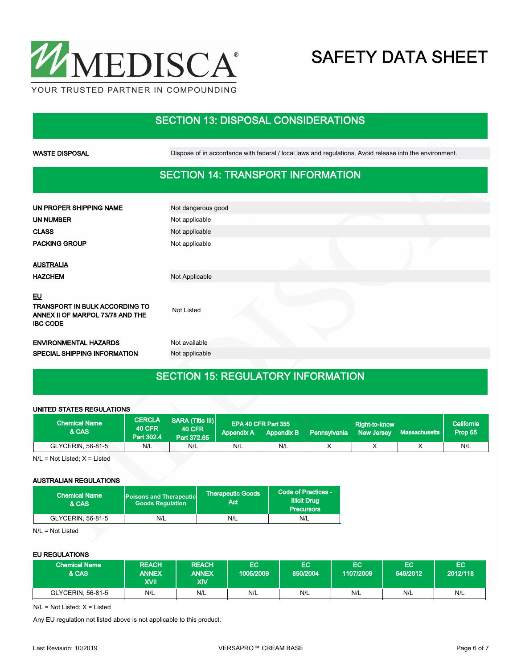

### SECTION 13: DISPOSAL CONSIDERATIONS

WASTE DISPOSAL **Dispose of in accordance with federal / local laws and regulations**. Avoid release into the environment.

### SECTION 14: TRANSPORT INFORMATION

| UN PROPER SHIPPING NAME                                                                                   | Not dangerous good |  |
|-----------------------------------------------------------------------------------------------------------|--------------------|--|
| <b>UN NUMBER</b>                                                                                          | Not applicable     |  |
| <b>CLASS</b>                                                                                              | Not applicable     |  |
| <b>PACKING GROUP</b>                                                                                      | Not applicable     |  |
|                                                                                                           |                    |  |
| <b>AUSTRALIA</b>                                                                                          |                    |  |
| <b>HAZCHEM</b>                                                                                            | Not Applicable     |  |
| <u>EU</u><br><b>TRANSPORT IN BULK ACCORDING TO</b><br>ANNEX II OF MARPOL 73/78 AND THE<br><b>IBC CODE</b> | Not Listed         |  |
| <b>ENVIRONMENTAL HAZARDS</b>                                                                              | Not available      |  |
| SPECIAL SHIPPING INFORMATION                                                                              | Not applicable     |  |
|                                                                                                           |                    |  |

### SECTION 15: REGULATORY INFORMATION

#### UNITED STATES REGULATIONS

| <b>Chemical Name</b><br>& CAS | <b>CERCLA</b><br><b>40 CFR</b><br>Part 302.4 | SARA (Title III)<br><b>40 CFR</b><br>Part 372.65 | <b>Appendix A</b> | EPA 40 CFR Part 355<br>Appendix B | l Pennsvivania <sup>i</sup> | Right-to-know<br><b>New Jersey</b> | Massachusetts | California<br>Prop 65 |
|-------------------------------|----------------------------------------------|--------------------------------------------------|-------------------|-----------------------------------|-----------------------------|------------------------------------|---------------|-----------------------|
| GLYCERIN, 56-81-5             | N/L                                          | N/L                                              | N/L               | N/L                               |                             |                                    |               | N/L                   |

 $N/L = Not$  Listed;  $X =$  Listed

#### AUSTRALIAN REGULATIONS

| <b>Chemical Name</b><br>& CAS | <b>Poisons and Therapeutic</b><br><b>Goods Requlation</b> | Therapeutic Goods <sup>1</sup><br>Act | Code of Practices -<br><b>Illicit Drug</b><br><b>Precursors</b> |  |
|-------------------------------|-----------------------------------------------------------|---------------------------------------|-----------------------------------------------------------------|--|
| GLYCERIN, 56-81-5             | N/L                                                       | N/L                                   | N/L                                                             |  |

N/L = Not Listed

#### EU REGULATIONS

| <b>Chemical Name</b><br>& CAS | <b>REACH</b><br><b>ANNEX</b><br>XVII | <b>REACH</b><br><b>ANNEX</b><br>XIV | EC<br>1005/2009 | EC.<br>850/2004 | EС<br>1107/2009 | EC<br>649/2012 | EC<br>12012/118 |
|-------------------------------|--------------------------------------|-------------------------------------|-----------------|-----------------|-----------------|----------------|-----------------|
| GLYCERIN, 56-81-5             | N/L                                  | N/L                                 | N/L             | N/L             | N/L             | N/L            | N/L             |

N/L = Not Listed; X = Listed

Any EU regulation not listed above is not applicable to this product.